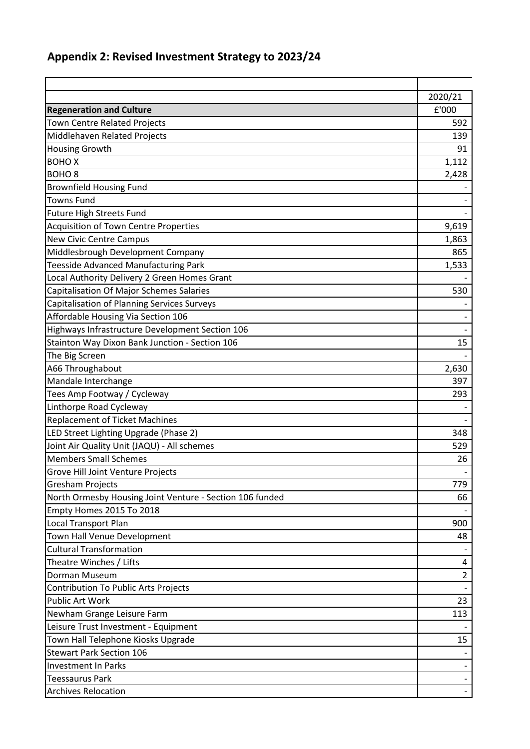## **Appendix 2: Revised Investment Strategy to 2023/24**

|                                                          | 2020/21        |
|----------------------------------------------------------|----------------|
| <b>Regeneration and Culture</b>                          | £'000          |
| <b>Town Centre Related Projects</b>                      | 592            |
| Middlehaven Related Projects                             | 139            |
| <b>Housing Growth</b>                                    | 91             |
| <b>BOHOX</b>                                             | 1,112          |
| <b>BOHO<sub>8</sub></b>                                  | 2,428          |
| <b>Brownfield Housing Fund</b>                           |                |
| <b>Towns Fund</b>                                        |                |
| <b>Future High Streets Fund</b>                          |                |
| <b>Acquisition of Town Centre Properties</b>             | 9,619          |
| New Civic Centre Campus                                  | 1,863          |
| Middlesbrough Development Company                        | 865            |
| <b>Teesside Advanced Manufacturing Park</b>              | 1,533          |
| Local Authority Delivery 2 Green Homes Grant             |                |
| <b>Capitalisation Of Major Schemes Salaries</b>          | 530            |
| Capitalisation of Planning Services Surveys              |                |
| Affordable Housing Via Section 106                       |                |
| Highways Infrastructure Development Section 106          |                |
| Stainton Way Dixon Bank Junction - Section 106           | 15             |
| The Big Screen                                           |                |
| A66 Throughabout                                         | 2,630          |
| Mandale Interchange                                      | 397            |
| Tees Amp Footway / Cycleway                              | 293            |
| Linthorpe Road Cycleway                                  |                |
| <b>Replacement of Ticket Machines</b>                    |                |
| LED Street Lighting Upgrade (Phase 2)                    | 348            |
| Joint Air Quality Unit (JAQU) - All schemes              | 529            |
| <b>Members Small Schemes</b>                             | 26             |
| Grove Hill Joint Venture Projects                        |                |
| <b>Gresham Projects</b>                                  | 779            |
| North Ormesby Housing Joint Venture - Section 106 funded | 66             |
| Empty Homes 2015 To 2018                                 |                |
| Local Transport Plan                                     | 900            |
| Town Hall Venue Development                              | 48             |
| <b>Cultural Transformation</b>                           |                |
| Theatre Winches / Lifts                                  | 4              |
| Dorman Museum                                            | $\overline{2}$ |
| Contribution To Public Arts Projects                     |                |
| <b>Public Art Work</b>                                   | 23             |
| Newham Grange Leisure Farm                               | 113            |
| Leisure Trust Investment - Equipment                     |                |
| Town Hall Telephone Kiosks Upgrade                       | 15             |
| <b>Stewart Park Section 106</b>                          |                |
| Investment In Parks                                      |                |
| <b>Teessaurus Park</b>                                   |                |
| <b>Archives Relocation</b>                               |                |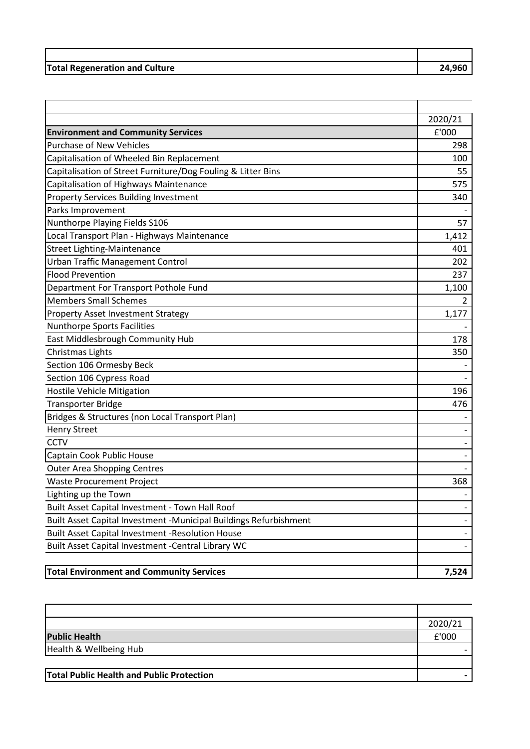| <b>Total Regeneration and Culture</b> | 74.960 |
|---------------------------------------|--------|

|                                                                   | 2020/21 |
|-------------------------------------------------------------------|---------|
| <b>Environment and Community Services</b>                         | £'000   |
| <b>Purchase of New Vehicles</b>                                   | 298     |
| Capitalisation of Wheeled Bin Replacement                         | 100     |
| Capitalisation of Street Furniture/Dog Fouling & Litter Bins      | 55      |
| Capitalisation of Highways Maintenance                            | 575     |
| <b>Property Services Building Investment</b>                      | 340     |
| Parks Improvement                                                 |         |
| Nunthorpe Playing Fields S106                                     | 57      |
| Local Transport Plan - Highways Maintenance                       | 1,412   |
| <b>Street Lighting-Maintenance</b>                                | 401     |
| <b>Urban Traffic Management Control</b>                           | 202     |
| <b>Flood Prevention</b>                                           | 237     |
| Department For Transport Pothole Fund                             | 1,100   |
| <b>Members Small Schemes</b>                                      | 2       |
| <b>Property Asset Investment Strategy</b>                         | 1,177   |
| Nunthorpe Sports Facilities                                       |         |
| East Middlesbrough Community Hub                                  | 178     |
| Christmas Lights                                                  | 350     |
| Section 106 Ormesby Beck                                          |         |
| Section 106 Cypress Road                                          |         |
| <b>Hostile Vehicle Mitigation</b>                                 | 196     |
| <b>Transporter Bridge</b>                                         | 476     |
| Bridges & Structures (non Local Transport Plan)                   |         |
| <b>Henry Street</b>                                               |         |
| <b>CCTV</b>                                                       |         |
| Captain Cook Public House                                         |         |
| <b>Outer Area Shopping Centres</b>                                |         |
| <b>Waste Procurement Project</b>                                  | 368     |
| Lighting up the Town                                              |         |
| Built Asset Capital Investment - Town Hall Roof                   |         |
| Built Asset Capital Investment -Municipal Buildings Refurbishment |         |
| Built Asset Capital Investment -Resolution House                  |         |
| Built Asset Capital Investment - Central Library WC               |         |
| <b>Total Environment and Community Services</b>                   | 7,524   |

|                                                  | 2020/21 |
|--------------------------------------------------|---------|
| <b>Public Health</b>                             | £'000   |
| Health & Wellbeing Hub                           |         |
|                                                  |         |
| <b>Total Public Health and Public Protection</b> |         |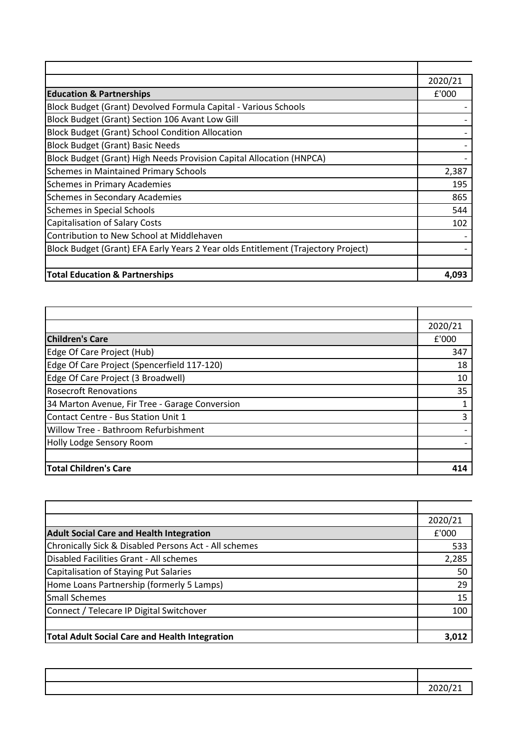|                                                                                   | 2020/21 |
|-----------------------------------------------------------------------------------|---------|
| <b>Education &amp; Partnerships</b>                                               | £'000   |
| Block Budget (Grant) Devolved Formula Capital - Various Schools                   |         |
| Block Budget (Grant) Section 106 Avant Low Gill                                   |         |
| <b>Block Budget (Grant) School Condition Allocation</b>                           |         |
| <b>Block Budget (Grant) Basic Needs</b>                                           |         |
| Block Budget (Grant) High Needs Provision Capital Allocation (HNPCA)              |         |
| <b>Schemes in Maintained Primary Schools</b>                                      | 2,387   |
| <b>Schemes in Primary Academies</b>                                               | 195     |
| Schemes in Secondary Academies                                                    | 865     |
| <b>Schemes in Special Schools</b>                                                 | 544     |
| Capitalisation of Salary Costs                                                    | 102     |
| Contribution to New School at Middlehaven                                         |         |
| Block Budget (Grant) EFA Early Years 2 Year olds Entitlement (Trajectory Project) |         |
|                                                                                   |         |
| <b>Total Education &amp; Partnerships</b>                                         | 4.093   |

|                                                | 2020/21 |
|------------------------------------------------|---------|
| <b>Children's Care</b>                         | £'000   |
| Edge Of Care Project (Hub)                     | 347     |
| Edge Of Care Project (Spencerfield 117-120)    | 18      |
| Edge Of Care Project (3 Broadwell)             | 10      |
| <b>Rosecroft Renovations</b>                   | 35      |
| 34 Marton Avenue, Fir Tree - Garage Conversion |         |
| Contact Centre - Bus Station Unit 1            | 3       |
| Willow Tree - Bathroom Refurbishment           |         |
| Holly Lodge Sensory Room                       |         |
|                                                |         |
| <b>Total Children's Care</b>                   | 414     |

|                                                       | 2020/21 |
|-------------------------------------------------------|---------|
| <b>Adult Social Care and Health Integration</b>       | E'000   |
| Chronically Sick & Disabled Persons Act - All schemes | 533     |
| Disabled Facilities Grant - All schemes               | 2,285   |
| Capitalisation of Staying Put Salaries                | 50      |
| Home Loans Partnership (formerly 5 Lamps)             | 29      |
| <b>Small Schemes</b>                                  | 15      |
| Connect / Telecare IP Digital Switchover              | 100     |
|                                                       |         |
| <b>Total Adult Social Care and Health Integration</b> | 3.012   |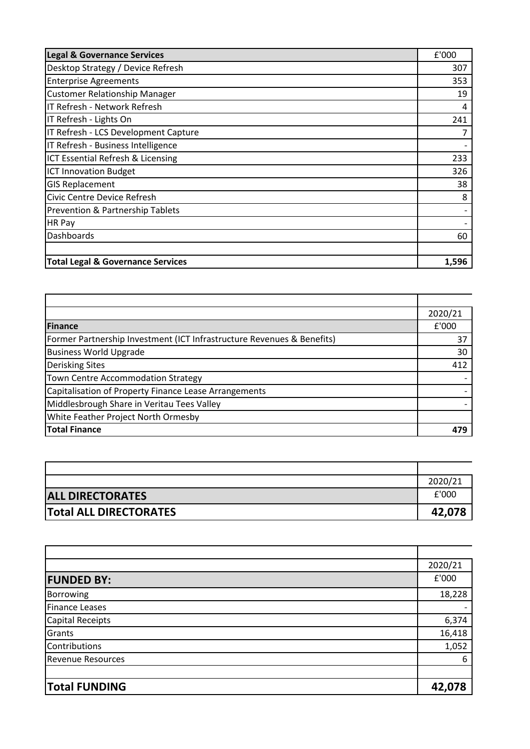| <b>Legal &amp; Governance Services</b>       | £'000 |
|----------------------------------------------|-------|
| Desktop Strategy / Device Refresh            | 307   |
| <b>Enterprise Agreements</b>                 | 353   |
| <b>Customer Relationship Manager</b>         | 19    |
| IT Refresh - Network Refresh                 | 4     |
| IT Refresh - Lights On                       | 241   |
| IT Refresh - LCS Development Capture         | 7     |
| IT Refresh - Business Intelligence           |       |
| ICT Essential Refresh & Licensing            | 233   |
| ICT Innovation Budget                        | 326   |
| <b>GIS Replacement</b>                       | 38    |
| Civic Centre Device Refresh                  | 8     |
| Prevention & Partnership Tablets             |       |
| <b>HR Pay</b>                                |       |
| Dashboards                                   | 60    |
|                                              |       |
| <b>Total Legal &amp; Governance Services</b> | 1,596 |

|                                                                        | 2020/21 |
|------------------------------------------------------------------------|---------|
| <b>Finance</b>                                                         | £'000   |
| Former Partnership Investment (ICT Infrastructure Revenues & Benefits) | 37      |
| <b>Business World Upgrade</b>                                          | 30      |
| <b>Derisking Sites</b>                                                 | 412     |
| Town Centre Accommodation Strategy                                     |         |
| Capitalisation of Property Finance Lease Arrangements                  |         |
| Middlesbrough Share in Veritau Tees Valley                             |         |
| <b>White Feather Project North Ormesby</b>                             |         |
| <b>Total Finance</b>                                                   | 479     |

|                               | 2020/21 |
|-------------------------------|---------|
| <b>ALL DIRECTORATES</b>       | f'000   |
| <b>Total ALL DIRECTORATES</b> | 42,078  |

|                          | 2020/21 |
|--------------------------|---------|
| <b>FUNDED BY:</b>        | £'000   |
| Borrowing                | 18,228  |
| <b>Finance Leases</b>    |         |
| Capital Receipts         | 6,374   |
| Grants                   | 16,418  |
| Contributions            | 1,052   |
| <b>Revenue Resources</b> | 6       |
|                          |         |
| <b>Total FUNDING</b>     | 42,078  |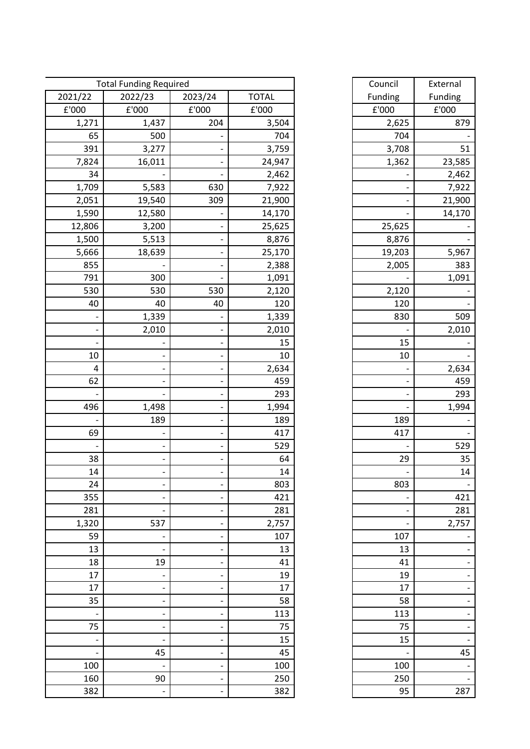|                          | <b>Total Funding Required</b> |                              |              | Council                  | External |
|--------------------------|-------------------------------|------------------------------|--------------|--------------------------|----------|
| 2021/22                  | 2022/23                       | 2023/24                      | <b>TOTAL</b> | Funding                  | Funding  |
| £'000                    | £'000                         | £'000                        | £'000        | £'000                    | £'000    |
| 1,271                    | 1,437                         | 204                          | 3,504        | 2,625                    | 879      |
| 65                       | 500                           |                              | 704          | 704                      |          |
| 391                      | 3,277                         |                              | 3,759        | 3,708                    | 51       |
| 7,824                    | 16,011                        |                              | 24,947       | 1,362                    | 23,585   |
| 34                       |                               |                              | 2,462        |                          | 2,462    |
| 1,709                    | 5,583                         | 630                          | 7,922        |                          | 7,922    |
| 2,051                    | 19,540                        | 309                          | 21,900       |                          | 21,900   |
| 1,590                    | 12,580                        |                              | 14,170       |                          | 14,170   |
| 12,806                   | 3,200                         |                              | 25,625       | 25,625                   |          |
| 1,500                    | 5,513                         |                              | 8,876        | 8,876                    |          |
| 5,666                    | 18,639                        |                              | 25,170       | 19,203                   | 5,967    |
| 855                      |                               |                              | 2,388        | 2,005                    | 383      |
| 791                      | 300                           |                              | 1,091        |                          | 1,091    |
| 530                      | 530                           | 530                          | 2,120        | 2,120                    |          |
| 40                       | 40                            | 40                           | 120          | 120                      |          |
|                          | 1,339                         |                              | 1,339        | 830                      | 509      |
|                          | 2,010                         |                              | 2,010        |                          | 2,010    |
|                          |                               |                              | 15           | 15                       |          |
| 10                       |                               |                              | 10           | 10                       |          |
| $\overline{4}$           |                               |                              | 2,634        |                          | 2,634    |
| 62                       |                               |                              | 459          |                          | 459      |
|                          |                               |                              | 293          |                          | 293      |
| 496                      | 1,498                         |                              | 1,994        |                          | 1,994    |
|                          | 189                           |                              | 189          | 189                      |          |
| 69                       |                               |                              | 417          | 417                      |          |
|                          |                               |                              | 529          |                          | 529      |
| 38                       |                               |                              | 64           | 29                       | 35       |
| 14                       |                               |                              | 14           |                          | 14       |
| 24                       |                               | $\overline{a}$               | 803          | 803                      |          |
| 355                      | $\overline{\phantom{a}}$      | $\overline{\phantom{a}}$     | 421          |                          | 421      |
| 281                      |                               | -                            | 281          | $\qquad \qquad -$        | 281      |
| 1,320                    | 537                           | $\overline{\phantom{a}}$     | 2,757        | $\overline{\phantom{0}}$ | 2,757    |
| 59                       | -                             | -                            | 107          | 107                      |          |
| 13                       |                               |                              | 13           | 13                       |          |
| 18                       | 19                            | $\overline{\phantom{0}}$     | 41           | 41                       |          |
| 17                       | $\qquad \qquad \blacksquare$  | $\overline{\phantom{a}}$     | 19           | 19                       |          |
| 17                       | $\qquad \qquad \blacksquare$  | $\overline{\phantom{a}}$     | 17           | 17                       |          |
| 35                       | $\overline{a}$                | -                            | 58           | 58                       |          |
| $\overline{\phantom{a}}$ | $\qquad \qquad \blacksquare$  | $\overline{\phantom{a}}$     | 113          | 113                      |          |
| 75                       |                               |                              | 75           | 75                       |          |
| $\overline{\phantom{0}}$ |                               |                              | 15           | 15                       |          |
| $\overline{a}$           | 45                            | $\qquad \qquad \blacksquare$ | 45           |                          | 45       |
| 100                      | $\overline{\phantom{0}}$      | -                            | 100          | 100                      |          |
| 160                      | 90                            | $\qquad \qquad \blacksquare$ | 250          | 250                      |          |
| 382                      | $\qquad \qquad \blacksquare$  | $\overline{\phantom{a}}$     | 382          | 95                       | 287      |

| Council | External |
|---------|----------|
| Funding | Funding  |
| £'000   | £'000    |
|         |          |
| 2,625   | 879      |
| 704     |          |
| 3,708   | 51       |
| 1,362   | 23,585   |
|         | 2,462    |
|         | 7,922    |
|         | 21,900   |
|         | 14,170   |
| 25,625  |          |
| 8,876   |          |
| 19,203  | 5,967    |
| 2,005   | 383      |
|         | 1,091    |
| 2,120   |          |
| 120     |          |
| 830     | 509      |
|         | 2,010    |
| 15      |          |
| 10      |          |
|         | 2,634    |
|         | 459      |
|         |          |
|         | 293      |
|         | 1,994    |
| 189     |          |
| 417     |          |
|         | 529      |
| 29      | 35       |
|         | 14       |
| 803     |          |
|         | 421      |
|         | 281      |
|         | 2,757    |
| 107     |          |
| 13      |          |
| 41      |          |
| 19      |          |
| 17      |          |
| 58      |          |
| 113     |          |
| 75      |          |
| 15      |          |
|         | 45       |
| 100     |          |
| 250     |          |
|         |          |
| 95      | 287      |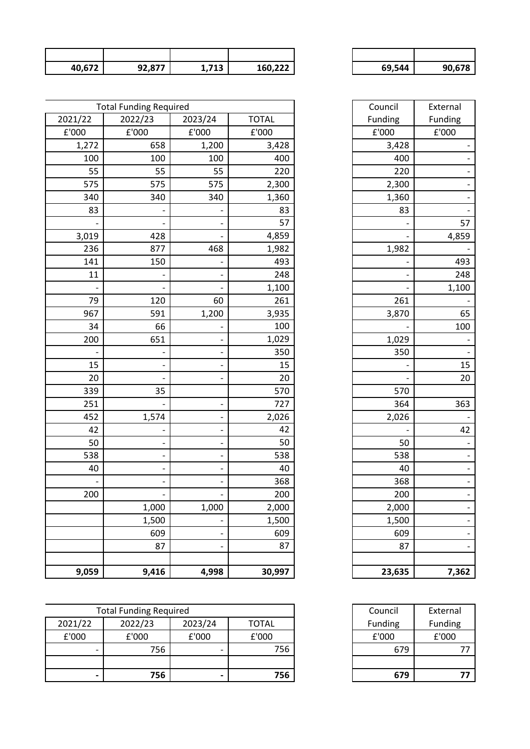| 40,672 | 02.077<br>JL,077 | 712<br>1,7 TJ | 160,222 | 69,544 | .678 |
|--------|------------------|---------------|---------|--------|------|

| 69,544 | 90,678 |
|--------|--------|

Council External<br>Funding Funding

|         | <b>Total Funding Required</b> |         |              | Council        | External |
|---------|-------------------------------|---------|--------------|----------------|----------|
| 2021/22 | 2022/23                       | 2023/24 | <b>TOTAL</b> | Funding        | Funding  |
| £'000   | £'000                         | £'000   | £'000        | ${\tt f}$ '000 | £'000    |
| 1,272   | 658                           | 1,200   | 3,428        | 3,428          |          |
| 100     | 100                           | 100     | 400          | 400            |          |
| 55      | 55                            | 55      | 220          | 220            |          |
| 575     | 575                           | 575     | 2,300        | 2,300          |          |
| 340     | 340                           | 340     | 1,360        | 1,360          |          |
| 83      |                               |         | 83           | 83             |          |
|         |                               |         | 57           |                | 57       |
| 3,019   | 428                           |         | 4,859        |                | 4,859    |
| 236     | 877                           | 468     | 1,982        | 1,982          |          |
| 141     | 150                           |         | 493          |                | 493      |
| 11      |                               |         | 248          |                | 248      |
|         |                               |         | 1,100        |                | 1,100    |
| 79      | 120                           | 60      | 261          | 261            |          |
| 967     | 591                           | 1,200   | 3,935        | 3,870          | 65       |
| 34      | 66                            |         | 100          |                | 100      |
| 200     | 651                           |         | 1,029        | 1,029          |          |
|         |                               |         | 350          | 350            |          |
| 15      |                               |         | 15           |                | 15       |
| 20      |                               |         | 20           |                | 20       |
| 339     | 35                            |         | 570          | 570            |          |
| 251     |                               |         | 727          | 364            | 363      |
| 452     | 1,574                         |         | 2,026        | 2,026          |          |
| 42      |                               |         | 42           |                | 42       |
| 50      |                               |         | 50           | 50             |          |
| 538     |                               |         | 538          | 538            |          |
| 40      |                               |         | 40           | 40             |          |
|         |                               |         | 368          | 368            |          |
| 200     |                               |         | 200          | 200            |          |
|         | 1,000                         | 1,000   | 2,000        | 2,000          |          |
|         | 1,500                         |         | 1,500        | 1,500          |          |
|         | 609                           |         | 609          | 609            |          |
|         | 87                            |         | 87           | 87             |          |
|         |                               |         |              |                |          |
| 9,059   | 9,416                         | 4,998   | 30,997       | 23,635         | 7,362    |

| 83              |       |
|-----------------|-------|
|                 | 57    |
|                 | 4,859 |
| 1,982           |       |
|                 | 493   |
|                 | 248   |
|                 | 1,100 |
| $\frac{261}{2}$ |       |
| 3,870           | 65    |
|                 | 100   |
| 1,029           |       |
| 350             |       |
|                 | 15    |
|                 | 20    |
| 570             |       |
| 364             | 363   |
| 2,026           |       |
|                 | 42    |
| 50              |       |
| 538             |       |
| 40              |       |
| 368             |       |
| 200             | -     |
| 2,000           |       |
| 1,500           |       |
| 609             |       |
| 87              |       |
|                 |       |
| 23,635          | 7,362 |

| 679     |          |
|---------|----------|
|         |          |
| 679     |          |
| £'000   | £'000    |
| Funding | Funding  |
| Council | External |

|                          | <b>Total Funding Required</b> |         |              | Council | External |
|--------------------------|-------------------------------|---------|--------------|---------|----------|
| 2021/22                  | 2022/23                       | 2023/24 | <b>TOTAL</b> | Funding | Funding  |
| £'000                    | £'000                         | £'000   | £'000        | £'000   | £'000    |
| $\overline{\phantom{0}}$ | 756                           |         | 756          | 679     | 77       |
|                          |                               |         |              |         |          |
| $\overline{\phantom{0}}$ | 756                           | -       | 756          | 679     | 77       |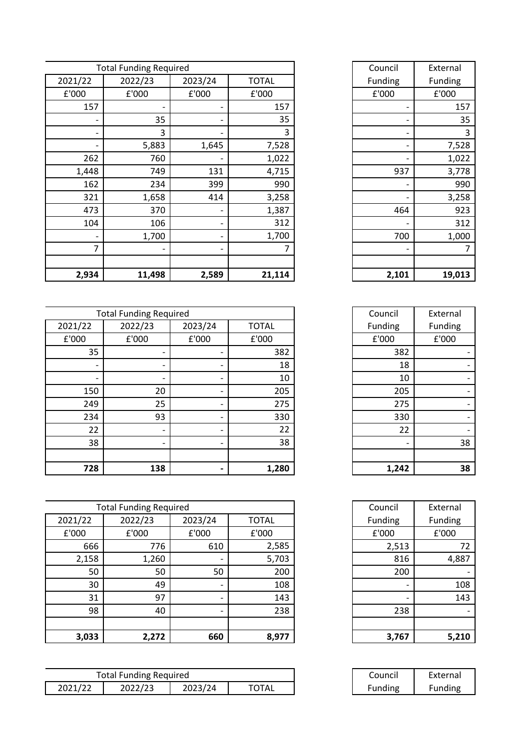|                | <b>Total Funding Required</b> |         |              | Council |
|----------------|-------------------------------|---------|--------------|---------|
| 2021/22        | 2022/23                       | 2023/24 | <b>TOTAL</b> | Funding |
| £'000          | £'000                         | £'000   | £'000        | £'000   |
| 157            |                               |         | 157          |         |
|                | 35                            |         | 35           |         |
| -              | 3                             | -       | 3            |         |
|                | 5,883                         | 1,645   | 7,528        |         |
| 262            | 760                           |         | 1,022        |         |
| 1,448          | 749                           | 131     | 4,715        | 937     |
| 162            | 234                           | 399     | 990          |         |
| 321            | 1,658                         | 414     | 3,258        |         |
| 473            | 370                           |         | 1,387        | 464     |
| 104            | 106                           |         | 312          |         |
|                | 1,700                         |         | 1,700        | 700     |
| $\overline{7}$ |                               |         |              |         |
|                |                               |         |              |         |
| 2,934          | 11,498                        | 2,589   | 21,114       | 2,101   |

|                          | <b>Total Funding Required</b> |                          |              | Council | External |
|--------------------------|-------------------------------|--------------------------|--------------|---------|----------|
| 2021/22                  | 2022/23                       | 2023/24                  | <b>TOTAL</b> | Funding | Funding  |
| £'000                    | £'000                         | £'000                    | £'000        | £'000   | £'000    |
| 35                       |                               |                          | 382          | 382     |          |
| $\overline{\phantom{0}}$ |                               |                          | 18           | 18      |          |
| $\overline{\phantom{a}}$ |                               | $\overline{\phantom{a}}$ | 10           | 10      |          |
| 150                      | 20                            | $\overline{\phantom{a}}$ | 205          | 205     |          |
| 249                      | 25                            |                          | 275          | 275     |          |
| 234                      | 93                            |                          | 330          | 330     |          |
| 22                       |                               |                          | 22           | 22      |          |
| 38                       |                               |                          | 38           |         | 38       |
|                          |                               |                          |              |         |          |
| 728                      | 138                           | $\overline{\phantom{0}}$ | 1,280        | 1,242   | 38       |

|         | <b>Total Funding Required</b> |                          |              | Council | External |
|---------|-------------------------------|--------------------------|--------------|---------|----------|
| 2021/22 | 2022/23                       | 2023/24                  | <b>TOTAL</b> | Funding | Funding  |
| £'000   | £'000                         | £'000                    | £'000        | £'000   | £'000    |
| 666     | 776                           | 610                      | 2,585        | 2,513   | 72       |
| 2,158   | 1,260                         |                          | 5,703        | 816     | 4,887    |
| 50      | 50                            | 50                       | 200          | 200     |          |
| 30      | 49                            | $\overline{\phantom{0}}$ | 108          |         | 108      |
| 31      | 97                            | -                        | 143          |         | 143      |
| 98      | 40                            | -                        | 238          | 238     |          |
|         |                               |                          |              |         |          |
| 3,033   | 2,272                         | 660                      | 8,977        | 3,767   | 5,210    |

| Council | External |
|---------|----------|
| Funding | Funding  |
| £'000   | £'000    |
|         | 157      |
|         | 35       |
|         | 3        |
|         | 7,528    |
|         | 1,022    |
| 937     | 3,778    |
|         | 990      |
|         | 3,258    |
| 464     | 923      |
|         | 312      |
| 700     | 1,000    |
|         | 7        |
|         |          |
| 2,101   | 19,013   |

| Council | External |
|---------|----------|
| Funding | Funding  |
| £'000   | £'000    |
| 382     |          |
| 18      |          |
| 10      |          |
| 205     |          |
| 275     |          |
| 330     |          |
| 22      |          |
|         | 38       |
|         |          |
| 1,242   | 38       |

| Council        | External |
|----------------|----------|
| <b>Funding</b> | Funding  |
| £'000          | £'000    |
| 2,513          | 72       |
| 816            | 4,887    |
| 200            |          |
|                | 108      |
|                | 143      |
| 238            |          |
|                |          |
| 3,767          | 5,210    |

| Council        | External |
|----------------|----------|
| <b>Funding</b> | Funding  |